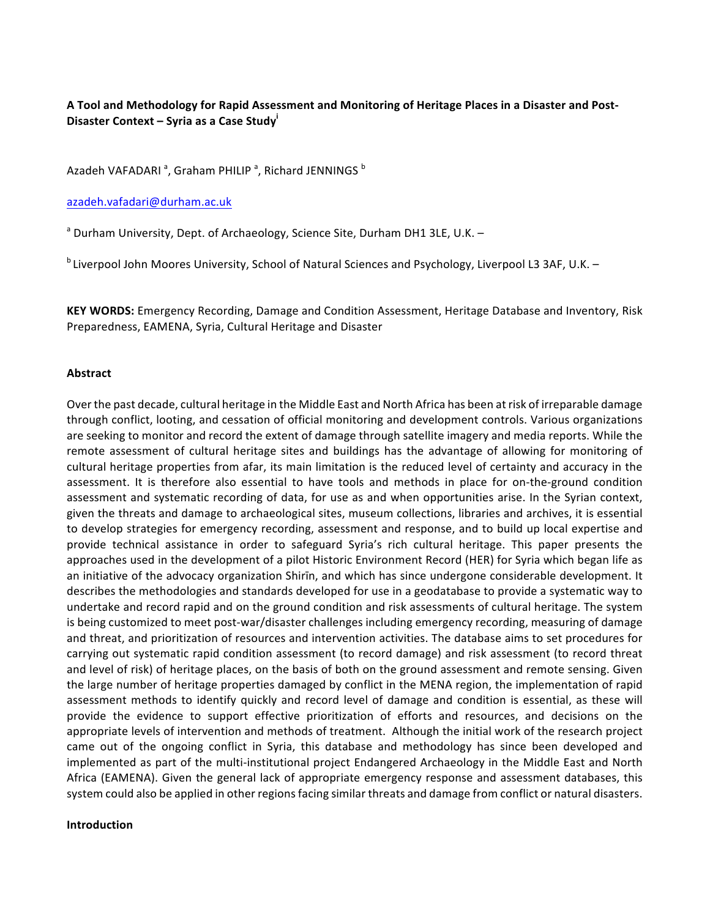# A Tool and Methodology for Rapid Assessment and Monitoring of Heritage Places in a Disaster and Post-**Disaster Context – Syria as a Case Study**<sup>'</sup>

## Azadeh VAFADARI  $^{\mathsf{a}}$ , Graham PHILIP  $^{\mathsf{a}}$ , Richard JENNINGS  $^{\mathsf{b}}$

#### azadeh.vafadari@durham.ac.uk

 $a$  Durham University, Dept. of Archaeology, Science Site, Durham DH1 3LE, U.K. –

<sup>b</sup> Liverpool John Moores University, School of Natural Sciences and Psychology, Liverpool L3 3AF, U.K. –

**KEY WORDS:** Emergency Recording, Damage and Condition Assessment, Heritage Database and Inventory, Risk Preparedness, EAMENA, Syria, Cultural Heritage and Disaster

#### **Abstract**

Over the past decade, cultural heritage in the Middle East and North Africa has been at risk of irreparable damage through conflict, looting, and cessation of official monitoring and development controls. Various organizations are seeking to monitor and record the extent of damage through satellite imagery and media reports. While the remote assessment of cultural heritage sites and buildings has the advantage of allowing for monitoring of cultural heritage properties from afar, its main limitation is the reduced level of certainty and accuracy in the assessment. It is therefore also essential to have tools and methods in place for on-the-ground condition assessment and systematic recording of data, for use as and when opportunities arise. In the Syrian context, given the threats and damage to archaeological sites, museum collections, libraries and archives, it is essential to develop strategies for emergency recording, assessment and response, and to build up local expertise and provide technical assistance in order to safeguard Syria's rich cultural heritage. This paper presents the approaches used in the development of a pilot Historic Environment Record (HER) for Syria which began life as an initiative of the advocacy organization Shirin, and which has since undergone considerable development. It describes the methodologies and standards developed for use in a geodatabase to provide a systematic way to undertake and record rapid and on the ground condition and risk assessments of cultural heritage. The system is being customized to meet post-war/disaster challenges including emergency recording, measuring of damage and threat, and prioritization of resources and intervention activities. The database aims to set procedures for carrying out systematic rapid condition assessment (to record damage) and risk assessment (to record threat and level of risk) of heritage places, on the basis of both on the ground assessment and remote sensing. Given the large number of heritage properties damaged by conflict in the MENA region, the implementation of rapid assessment methods to identify quickly and record level of damage and condition is essential, as these will provide the evidence to support effective prioritization of efforts and resources, and decisions on the appropriate levels of intervention and methods of treatment. Although the initial work of the research project came out of the ongoing conflict in Syria, this database and methodology has since been developed and implemented as part of the multi-institutional project Endangered Archaeology in the Middle East and North Africa (EAMENA). Given the general lack of appropriate emergency response and assessment databases, this system could also be applied in other regions facing similar threats and damage from conflict or natural disasters.

#### **Introduction**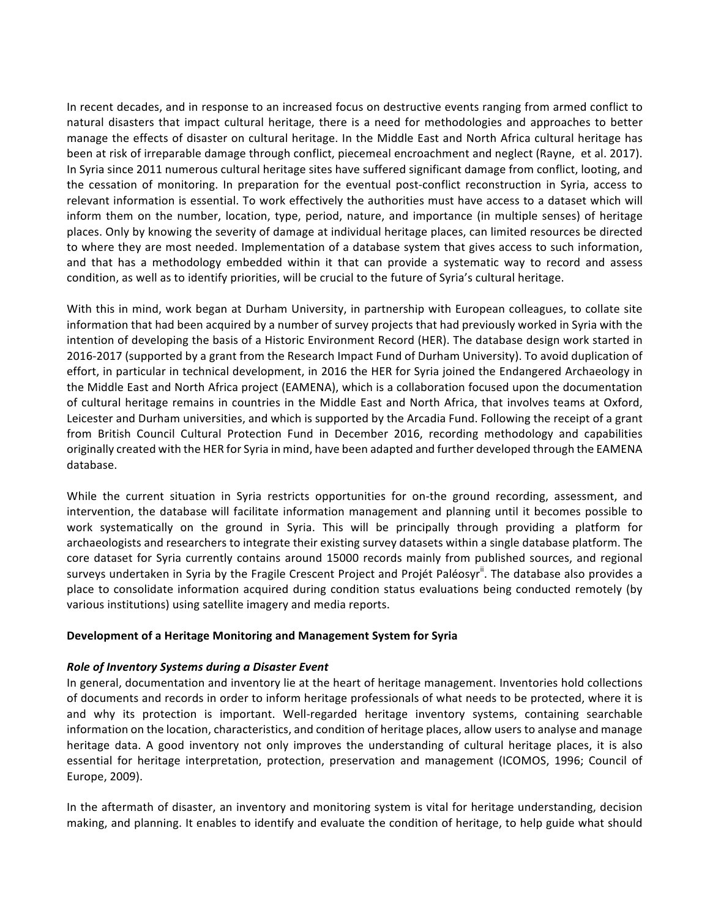In recent decades, and in response to an increased focus on destructive events ranging from armed conflict to natural disasters that impact cultural heritage, there is a need for methodologies and approaches to better manage the effects of disaster on cultural heritage. In the Middle East and North Africa cultural heritage has been at risk of irreparable damage through conflict, piecemeal encroachment and neglect (Rayne, et al. 2017). In Syria since 2011 numerous cultural heritage sites have suffered significant damage from conflict, looting, and the cessation of monitoring. In preparation for the eventual post-conflict reconstruction in Syria, access to relevant information is essential. To work effectively the authorities must have access to a dataset which will inform them on the number, location, type, period, nature, and importance (in multiple senses) of heritage places. Only by knowing the severity of damage at individual heritage places, can limited resources be directed to where they are most needed. Implementation of a database system that gives access to such information, and that has a methodology embedded within it that can provide a systematic way to record and assess condition, as well as to identify priorities, will be crucial to the future of Syria's cultural heritage.

With this in mind, work began at Durham University, in partnership with European colleagues, to collate site information that had been acquired by a number of survey projects that had previously worked in Syria with the intention of developing the basis of a Historic Environment Record (HER). The database design work started in 2016-2017 (supported by a grant from the Research Impact Fund of Durham University). To avoid duplication of effort, in particular in technical development, in 2016 the HER for Syria joined the Endangered Archaeology in the Middle East and North Africa project (EAMENA), which is a collaboration focused upon the documentation of cultural heritage remains in countries in the Middle East and North Africa, that involves teams at Oxford, Leicester and Durham universities, and which is supported by the Arcadia Fund. Following the receipt of a grant from British Council Cultural Protection Fund in December 2016, recording methodology and capabilities originally created with the HER for Syria in mind, have been adapted and further developed through the EAMENA database. 

While the current situation in Syria restricts opportunities for on-the ground recording, assessment, and intervention, the database will facilitate information management and planning until it becomes possible to work systematically on the ground in Syria. This will be principally through providing a platform for archaeologists and researchers to integrate their existing survey datasets within a single database platform. The core dataset for Syria currently contains around 15000 records mainly from published sources, and regional surveys undertaken in Syria by the Fragile Crescent Project and Projét Paléosyr<sup>ii</sup>. The database also provides a place to consolidate information acquired during condition status evaluations being conducted remotely (by various institutions) using satellite imagery and media reports.

### **Development of a Heritage Monitoring and Management System for Syria**

### **Role of Inventory Systems during a Disaster Event**

In general, documentation and inventory lie at the heart of heritage management. Inventories hold collections of documents and records in order to inform heritage professionals of what needs to be protected, where it is and why its protection is important. Well-regarded heritage inventory systems, containing searchable information on the location, characteristics, and condition of heritage places, allow users to analyse and manage heritage data. A good inventory not only improves the understanding of cultural heritage places, it is also essential for heritage interpretation, protection, preservation and management (ICOMOS, 1996; Council of Europe, 2009). 

In the aftermath of disaster, an inventory and monitoring system is vital for heritage understanding, decision making, and planning. It enables to identify and evaluate the condition of heritage, to help guide what should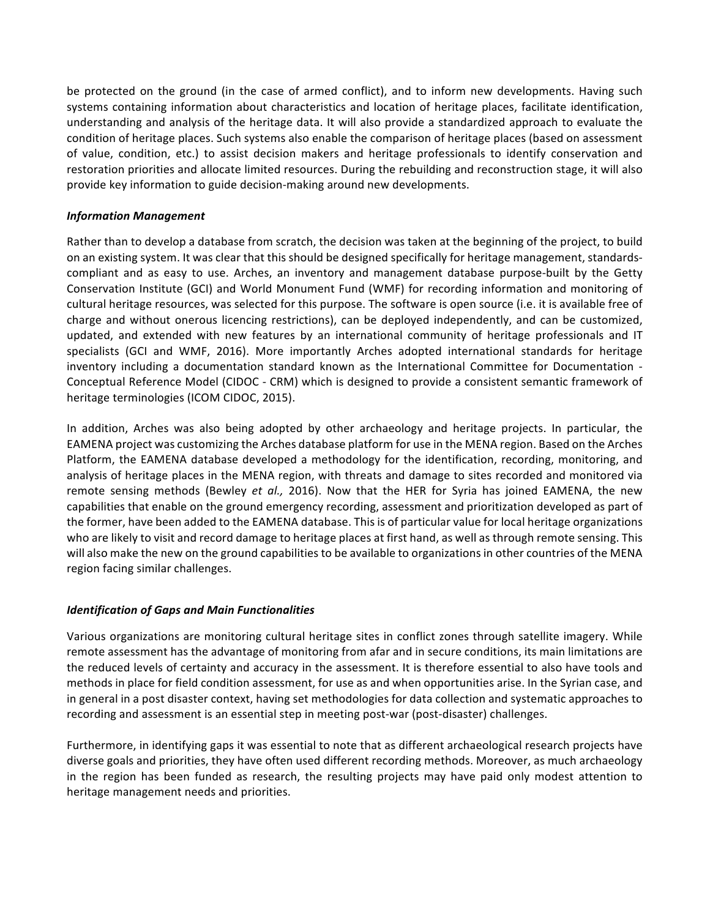be protected on the ground (in the case of armed conflict), and to inform new developments. Having such systems containing information about characteristics and location of heritage places, facilitate identification, understanding and analysis of the heritage data. It will also provide a standardized approach to evaluate the condition of heritage places. Such systems also enable the comparison of heritage places (based on assessment of value, condition, etc.) to assist decision makers and heritage professionals to identify conservation and restoration priorities and allocate limited resources. During the rebuilding and reconstruction stage, it will also provide key information to guide decision-making around new developments.

#### *Information Management*

Rather than to develop a database from scratch, the decision was taken at the beginning of the project, to build on an existing system. It was clear that this should be designed specifically for heritage management, standardscompliant and as easy to use. Arches, an inventory and management database purpose-built by the Getty Conservation Institute (GCI) and World Monument Fund (WMF) for recording information and monitoring of cultural heritage resources, was selected for this purpose. The software is open source (i.e. it is available free of charge and without onerous licencing restrictions), can be deployed independently, and can be customized, updated, and extended with new features by an international community of heritage professionals and IT specialists (GCI and WMF, 2016). More importantly Arches adopted international standards for heritage inventory including a documentation standard known as the International Committee for Documentation -Conceptual Reference Model (CIDOC - CRM) which is designed to provide a consistent semantic framework of heritage terminologies (ICOM CIDOC, 2015).

In addition, Arches was also being adopted by other archaeology and heritage projects. In particular, the EAMENA project was customizing the Arches database platform for use in the MENA region. Based on the Arches Platform, the EAMENA database developed a methodology for the identification, recording, monitoring, and analysis of heritage places in the MENA region, with threats and damage to sites recorded and monitored via remote sensing methods (Bewley *et al.,* 2016). Now that the HER for Syria has joined EAMENA, the new capabilities that enable on the ground emergency recording, assessment and prioritization developed as part of the former, have been added to the EAMENA database. This is of particular value for local heritage organizations who are likely to visit and record damage to heritage places at first hand, as well as through remote sensing. This will also make the new on the ground capabilities to be available to organizations in other countries of the MENA region facing similar challenges.

### *Identification of Gaps and Main Functionalities*

Various organizations are monitoring cultural heritage sites in conflict zones through satellite imagery. While remote assessment has the advantage of monitoring from afar and in secure conditions, its main limitations are the reduced levels of certainty and accuracy in the assessment. It is therefore essential to also have tools and methods in place for field condition assessment, for use as and when opportunities arise. In the Syrian case, and in general in a post disaster context, having set methodologies for data collection and systematic approaches to recording and assessment is an essential step in meeting post-war (post-disaster) challenges.

Furthermore, in identifying gaps it was essential to note that as different archaeological research projects have diverse goals and priorities, they have often used different recording methods. Moreover, as much archaeology in the region has been funded as research, the resulting projects may have paid only modest attention to heritage management needs and priorities.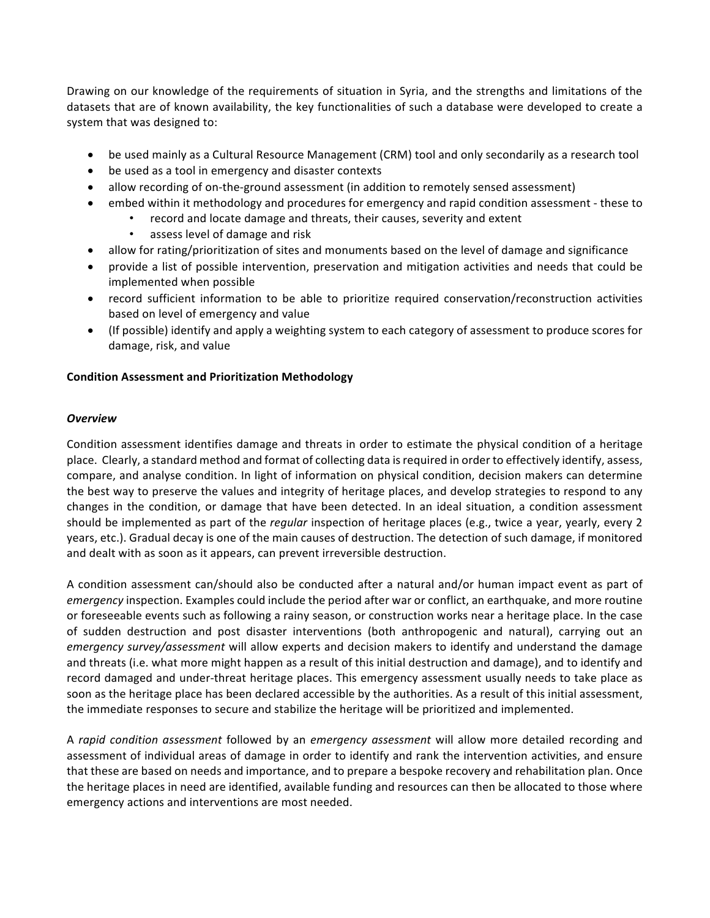Drawing on our knowledge of the requirements of situation in Syria, and the strengths and limitations of the datasets that are of known availability, the key functionalities of such a database were developed to create a system that was designed to:

- be used mainly as a Cultural Resource Management (CRM) tool and only secondarily as a research tool
- be used as a tool in emergency and disaster contexts
- allow recording of on-the-ground assessment (in addition to remotely sensed assessment)
- embed within it methodology and procedures for emergency and rapid condition assessment these to
	- record and locate damage and threats, their causes, severity and extent
	- assess level of damage and risk
- allow for rating/prioritization of sites and monuments based on the level of damage and significance
- provide a list of possible intervention, preservation and mitigation activities and needs that could be implemented when possible
- record sufficient information to be able to prioritize required conservation/reconstruction activities based on level of emergency and value
- (If possible) identify and apply a weighting system to each category of assessment to produce scores for damage, risk, and value

### **Condition Assessment and Prioritization Methodology**

#### *Overview*

Condition assessment identifies damage and threats in order to estimate the physical condition of a heritage place. Clearly, a standard method and format of collecting data is required in order to effectively identify, assess, compare, and analyse condition. In light of information on physical condition, decision makers can determine the best way to preserve the values and integrity of heritage places, and develop strategies to respond to any changes in the condition, or damage that have been detected. In an ideal situation, a condition assessment should be implemented as part of the *regular* inspection of heritage places (e.g., twice a year, yearly, every 2 years, etc.). Gradual decay is one of the main causes of destruction. The detection of such damage, if monitored and dealt with as soon as it appears, can prevent irreversible destruction.

A condition assessment can/should also be conducted after a natural and/or human impact event as part of *emergency* inspection. Examples could include the period after war or conflict, an earthquake, and more routine or foreseeable events such as following a rainy season, or construction works near a heritage place. In the case of sudden destruction and post disaster interventions (both anthropogenic and natural), carrying out an *emergency survey/assessment* will allow experts and decision makers to identify and understand the damage and threats (i.e. what more might happen as a result of this initial destruction and damage), and to identify and record damaged and under-threat heritage places. This emergency assessment usually needs to take place as soon as the heritage place has been declared accessible by the authorities. As a result of this initial assessment, the immediate responses to secure and stabilize the heritage will be prioritized and implemented.

A *rapid condition assessment* followed by an *emergency assessment* will allow more detailed recording and assessment of individual areas of damage in order to identify and rank the intervention activities, and ensure that these are based on needs and importance, and to prepare a bespoke recovery and rehabilitation plan. Once the heritage places in need are identified, available funding and resources can then be allocated to those where emergency actions and interventions are most needed.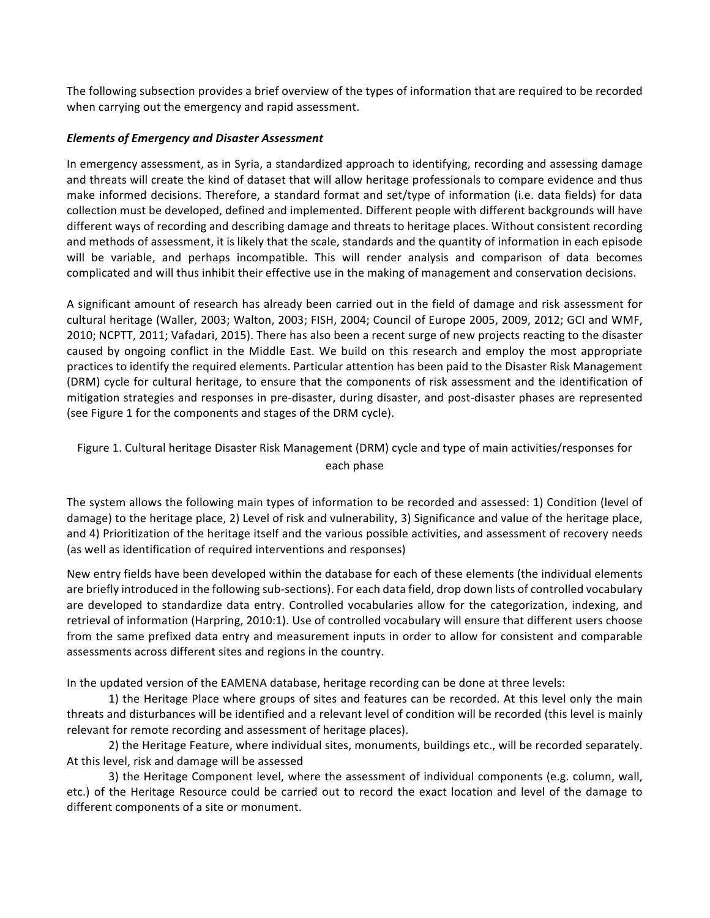The following subsection provides a brief overview of the types of information that are required to be recorded when carrying out the emergency and rapid assessment.

### **Elements of Emergency and Disaster Assessment**

In emergency assessment, as in Syria, a standardized approach to identifying, recording and assessing damage and threats will create the kind of dataset that will allow heritage professionals to compare evidence and thus make informed decisions. Therefore, a standard format and set/type of information (i.e. data fields) for data collection must be developed, defined and implemented. Different people with different backgrounds will have different ways of recording and describing damage and threats to heritage places. Without consistent recording and methods of assessment, it is likely that the scale, standards and the quantity of information in each episode will be variable, and perhaps incompatible. This will render analysis and comparison of data becomes complicated and will thus inhibit their effective use in the making of management and conservation decisions.

A significant amount of research has already been carried out in the field of damage and risk assessment for cultural heritage (Waller, 2003; Walton, 2003; FISH, 2004; Council of Europe 2005, 2009, 2012; GCI and WMF, 2010; NCPTT, 2011; Vafadari, 2015). There has also been a recent surge of new projects reacting to the disaster caused by ongoing conflict in the Middle East. We build on this research and employ the most appropriate practices to identify the required elements. Particular attention has been paid to the Disaster Risk Management (DRM) cycle for cultural heritage, to ensure that the components of risk assessment and the identification of mitigation strategies and responses in pre-disaster, during disaster, and post-disaster phases are represented (see Figure 1 for the components and stages of the DRM cycle).

# Figure 1. Cultural heritage Disaster Risk Management (DRM) cycle and type of main activities/responses for each phase

The system allows the following main types of information to be recorded and assessed: 1) Condition (level of damage) to the heritage place, 2) Level of risk and vulnerability, 3) Significance and value of the heritage place, and 4) Prioritization of the heritage itself and the various possible activities, and assessment of recovery needs (as well as identification of required interventions and responses)

New entry fields have been developed within the database for each of these elements (the individual elements are briefly introduced in the following sub-sections). For each data field, drop down lists of controlled vocabulary are developed to standardize data entry. Controlled vocabularies allow for the categorization, indexing, and retrieval of information (Harpring, 2010:1). Use of controlled vocabulary will ensure that different users choose from the same prefixed data entry and measurement inputs in order to allow for consistent and comparable assessments across different sites and regions in the country.

In the updated version of the EAMENA database, heritage recording can be done at three levels:

1) the Heritage Place where groups of sites and features can be recorded. At this level only the main threats and disturbances will be identified and a relevant level of condition will be recorded (this level is mainly relevant for remote recording and assessment of heritage places).

2) the Heritage Feature, where individual sites, monuments, buildings etc., will be recorded separately. At this level, risk and damage will be assessed

3) the Heritage Component level, where the assessment of individual components (e.g. column, wall, etc.) of the Heritage Resource could be carried out to record the exact location and level of the damage to different components of a site or monument.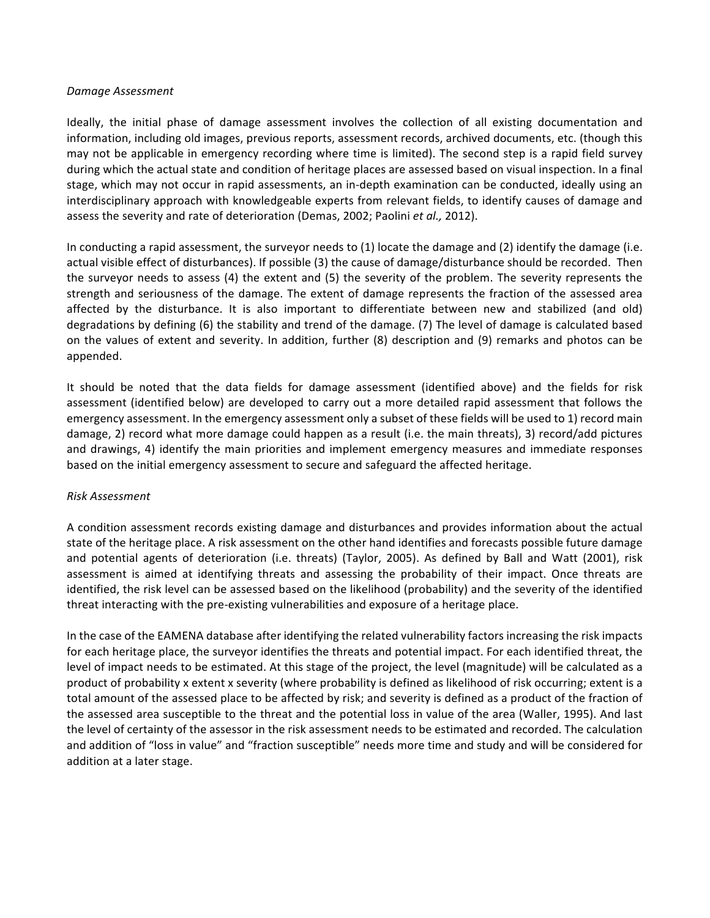#### *Damage Assessment*

Ideally, the initial phase of damage assessment involves the collection of all existing documentation and information, including old images, previous reports, assessment records, archived documents, etc. (though this may not be applicable in emergency recording where time is limited). The second step is a rapid field survey during which the actual state and condition of heritage places are assessed based on visual inspection. In a final stage, which may not occur in rapid assessments, an in-depth examination can be conducted, ideally using an interdisciplinary approach with knowledgeable experts from relevant fields, to identify causes of damage and assess the severity and rate of deterioration (Demas, 2002; Paolini et al., 2012).

In conducting a rapid assessment, the surveyor needs to  $(1)$  locate the damage and  $(2)$  identify the damage  $(i.e.$ actual visible effect of disturbances). If possible (3) the cause of damage/disturbance should be recorded. Then the surveyor needs to assess  $(4)$  the extent and  $(5)$  the severity of the problem. The severity represents the strength and seriousness of the damage. The extent of damage represents the fraction of the assessed area affected by the disturbance. It is also important to differentiate between new and stabilized (and old) degradations by defining (6) the stability and trend of the damage. (7) The level of damage is calculated based on the values of extent and severity. In addition, further (8) description and (9) remarks and photos can be appended.

It should be noted that the data fields for damage assessment (identified above) and the fields for risk assessment (identified below) are developed to carry out a more detailed rapid assessment that follows the emergency assessment. In the emergency assessment only a subset of these fields will be used to 1) record main damage, 2) record what more damage could happen as a result (i.e. the main threats), 3) record/add pictures and drawings, 4) identify the main priorities and implement emergency measures and immediate responses based on the initial emergency assessment to secure and safeguard the affected heritage.

#### *Risk Assessment*

A condition assessment records existing damage and disturbances and provides information about the actual state of the heritage place. A risk assessment on the other hand identifies and forecasts possible future damage and potential agents of deterioration (i.e. threats) (Taylor, 2005). As defined by Ball and Watt (2001), risk assessment is aimed at identifying threats and assessing the probability of their impact. Once threats are identified, the risk level can be assessed based on the likelihood (probability) and the severity of the identified threat interacting with the pre-existing vulnerabilities and exposure of a heritage place.

In the case of the EAMENA database after identifying the related vulnerability factors increasing the risk impacts for each heritage place, the surveyor identifies the threats and potential impact. For each identified threat, the level of impact needs to be estimated. At this stage of the project, the level (magnitude) will be calculated as a product of probability x extent x severity (where probability is defined as likelihood of risk occurring; extent is a total amount of the assessed place to be affected by risk; and severity is defined as a product of the fraction of the assessed area susceptible to the threat and the potential loss in value of the area (Waller, 1995). And last the level of certainty of the assessor in the risk assessment needs to be estimated and recorded. The calculation and addition of "loss in value" and "fraction susceptible" needs more time and study and will be considered for addition at a later stage.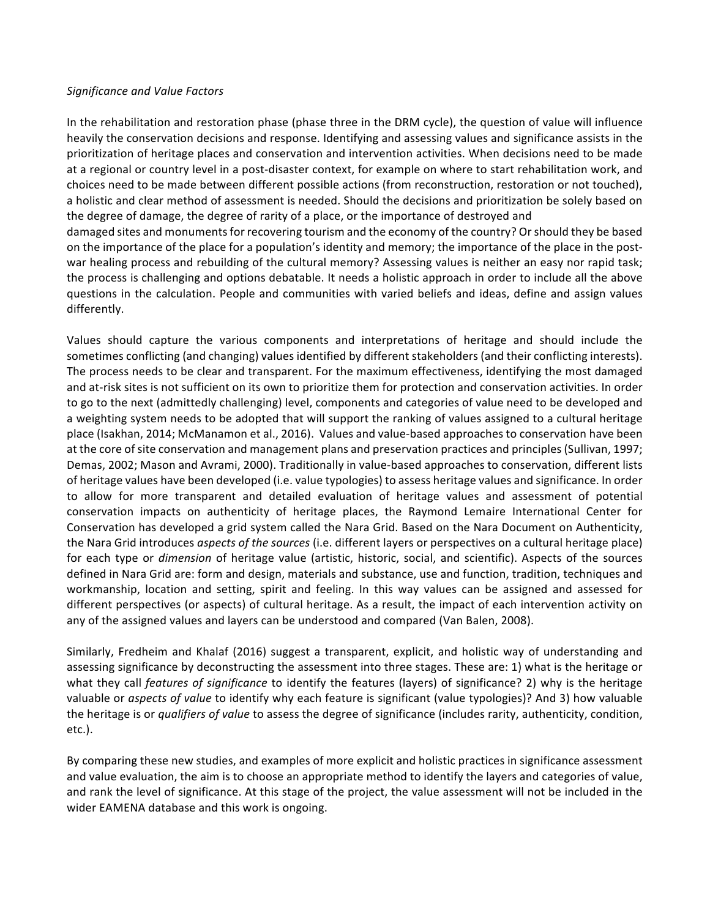#### *Significance and Value Factors*

In the rehabilitation and restoration phase (phase three in the DRM cycle), the question of value will influence heavily the conservation decisions and response. Identifying and assessing values and significance assists in the prioritization of heritage places and conservation and intervention activities. When decisions need to be made at a regional or country level in a post-disaster context, for example on where to start rehabilitation work, and choices need to be made between different possible actions (from reconstruction, restoration or not touched), a holistic and clear method of assessment is needed. Should the decisions and prioritization be solely based on the degree of damage, the degree of rarity of a place, or the importance of destroyed and damaged sites and monuments for recovering tourism and the economy of the country? Or should they be based on the importance of the place for a population's identity and memory; the importance of the place in the postwar healing process and rebuilding of the cultural memory? Assessing values is neither an easy nor rapid task; the process is challenging and options debatable. It needs a holistic approach in order to include all the above questions in the calculation. People and communities with varied beliefs and ideas, define and assign values differently. 

Values should capture the various components and interpretations of heritage and should include the sometimes conflicting (and changing) values identified by different stakeholders (and their conflicting interests). The process needs to be clear and transparent. For the maximum effectiveness, identifying the most damaged and at-risk sites is not sufficient on its own to prioritize them for protection and conservation activities. In order to go to the next (admittedly challenging) level, components and categories of value need to be developed and a weighting system needs to be adopted that will support the ranking of values assigned to a cultural heritage place (Isakhan, 2014; McManamon et al., 2016). Values and value-based approaches to conservation have been at the core of site conservation and management plans and preservation practices and principles (Sullivan, 1997; Demas, 2002; Mason and Avrami, 2000). Traditionally in value-based approaches to conservation, different lists of heritage values have been developed (i.e. value typologies) to assess heritage values and significance. In order to allow for more transparent and detailed evaluation of heritage values and assessment of potential conservation impacts on authenticity of heritage places, the Raymond Lemaire International Center for Conservation has developed a grid system called the Nara Grid. Based on the Nara Document on Authenticity, the Nara Grid introduces *aspects of the sources* (i.e. different layers or perspectives on a cultural heritage place) for each type or *dimension* of heritage value (artistic, historic, social, and scientific). Aspects of the sources defined in Nara Grid are: form and design, materials and substance, use and function, tradition, techniques and workmanship, location and setting, spirit and feeling. In this way values can be assigned and assessed for different perspectives (or aspects) of cultural heritage. As a result, the impact of each intervention activity on any of the assigned values and layers can be understood and compared (Van Balen, 2008).

Similarly, Fredheim and Khalaf (2016) suggest a transparent, explicit, and holistic way of understanding and assessing significance by deconstructing the assessment into three stages. These are: 1) what is the heritage or what they call *features of significance* to identify the features (layers) of significance? 2) why is the heritage valuable or *aspects of value* to identify why each feature is significant (value typologies)? And 3) how valuable the heritage is or *qualifiers of value* to assess the degree of significance (includes rarity, authenticity, condition, etc.). 

By comparing these new studies, and examples of more explicit and holistic practices in significance assessment and value evaluation, the aim is to choose an appropriate method to identify the layers and categories of value, and rank the level of significance. At this stage of the project, the value assessment will not be included in the wider EAMENA database and this work is ongoing.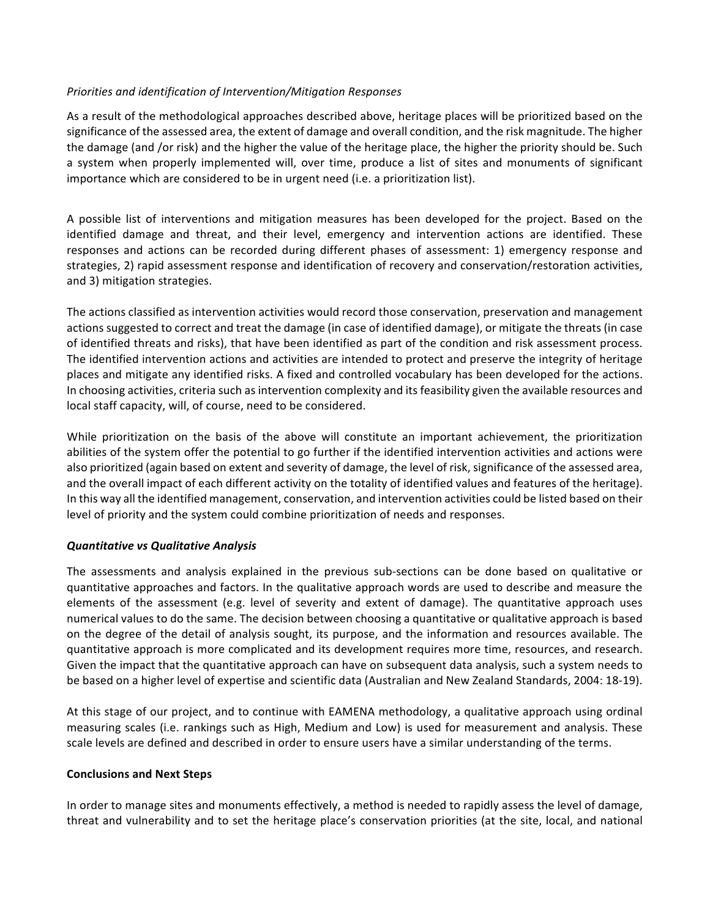### *Priorities and identification of Intervention/Mitigation Responses*

As a result of the methodological approaches described above, heritage places will be prioritized based on the significance of the assessed area, the extent of damage and overall condition, and the risk magnitude. The higher the damage (and /or risk) and the higher the value of the heritage place, the higher the priority should be. Such a system when properly implemented will, over time, produce a list of sites and monuments of significant importance which are considered to be in urgent need (i.e. a prioritization list).

A possible list of interventions and mitigation measures has been developed for the project. Based on the identified damage and threat, and their level, emergency and intervention actions are identified. These responses and actions can be recorded during different phases of assessment: 1) emergency response and strategies, 2) rapid assessment response and identification of recovery and conservation/restoration activities, and 3) mitigation strategies.

The actions classified as intervention activities would record those conservation, preservation and management actions suggested to correct and treat the damage (in case of identified damage), or mitigate the threats (in case of identified threats and risks), that have been identified as part of the condition and risk assessment process. The identified intervention actions and activities are intended to protect and preserve the integrity of heritage places and mitigate any identified risks. A fixed and controlled vocabulary has been developed for the actions. In choosing activities, criteria such as intervention complexity and its feasibility given the available resources and local staff capacity, will, of course, need to be considered.

While prioritization on the basis of the above will constitute an important achievement, the prioritization abilities of the system offer the potential to go further if the identified intervention activities and actions were also prioritized (again based on extent and severity of damage, the level of risk, significance of the assessed area, and the overall impact of each different activity on the totality of identified values and features of the heritage). In this way all the identified management, conservation, and intervention activities could be listed based on their level of priority and the system could combine prioritization of needs and responses.

### *Quantitative vs Qualitative Analysis*

The assessments and analysis explained in the previous sub-sections can be done based on qualitative or quantitative approaches and factors. In the qualitative approach words are used to describe and measure the elements of the assessment (e.g. level of severity and extent of damage). The quantitative approach uses numerical values to do the same. The decision between choosing a quantitative or qualitative approach is based on the degree of the detail of analysis sought, its purpose, and the information and resources available. The quantitative approach is more complicated and its development requires more time, resources, and research. Given the impact that the quantitative approach can have on subsequent data analysis, such a system needs to be based on a higher level of expertise and scientific data (Australian and New Zealand Standards, 2004: 18-19).

At this stage of our project, and to continue with EAMENA methodology, a qualitative approach using ordinal measuring scales (i.e. rankings such as High, Medium and Low) is used for measurement and analysis. These scale levels are defined and described in order to ensure users have a similar understanding of the terms.

### **Conclusions and Next Steps**

In order to manage sites and monuments effectively, a method is needed to rapidly assess the level of damage, threat and vulnerability and to set the heritage place's conservation priorities (at the site, local, and national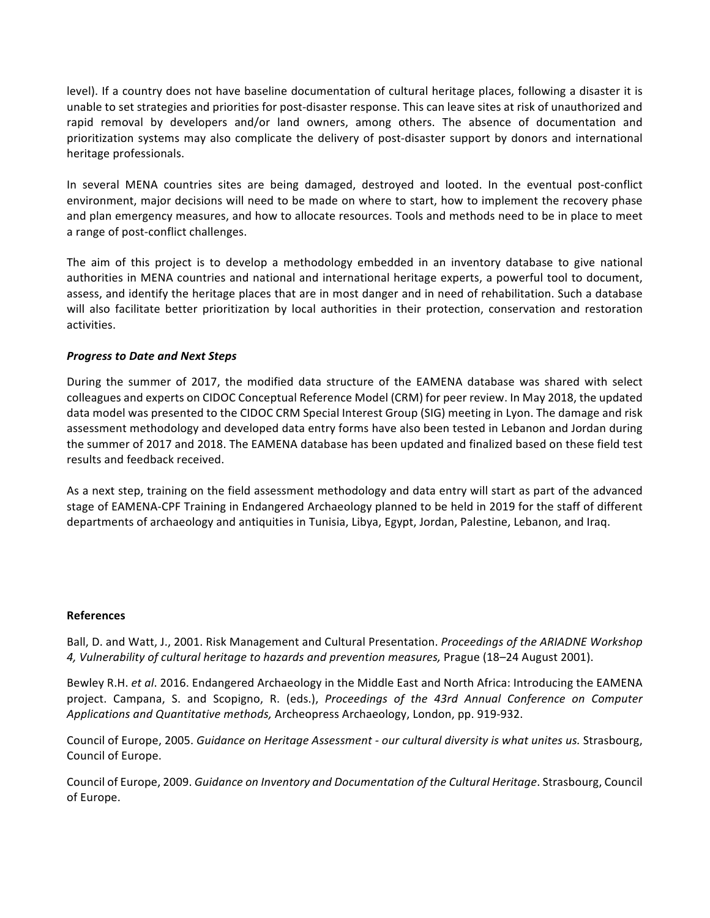level). If a country does not have baseline documentation of cultural heritage places, following a disaster it is unable to set strategies and priorities for post-disaster response. This can leave sites at risk of unauthorized and rapid removal by developers and/or land owners, among others. The absence of documentation and prioritization systems may also complicate the delivery of post-disaster support by donors and international heritage professionals.

In several MENA countries sites are being damaged, destroyed and looted. In the eventual post-conflict environment, major decisions will need to be made on where to start, how to implement the recovery phase and plan emergency measures, and how to allocate resources. Tools and methods need to be in place to meet a range of post-conflict challenges.

The aim of this project is to develop a methodology embedded in an inventory database to give national authorities in MENA countries and national and international heritage experts, a powerful tool to document, assess, and identify the heritage places that are in most danger and in need of rehabilitation. Such a database will also facilitate better prioritization by local authorities in their protection, conservation and restoration activities. 

### **Progress to Date and Next Steps**

During the summer of 2017, the modified data structure of the EAMENA database was shared with select colleagues and experts on CIDOC Conceptual Reference Model (CRM) for peer review. In May 2018, the updated data model was presented to the CIDOC CRM Special Interest Group (SIG) meeting in Lyon. The damage and risk assessment methodology and developed data entry forms have also been tested in Lebanon and Jordan during the summer of 2017 and 2018. The EAMENA database has been updated and finalized based on these field test results and feedback received.

As a next step, training on the field assessment methodology and data entry will start as part of the advanced stage of EAMENA-CPF Training in Endangered Archaeology planned to be held in 2019 for the staff of different departments of archaeology and antiquities in Tunisia, Libya, Egypt, Jordan, Palestine, Lebanon, and Iraq.

#### **References**

Ball, D. and Watt, J., 2001. Risk Management and Cultural Presentation. *Proceedings of the ARIADNE Workshop* 4, Vulnerability of cultural heritage to hazards and prevention measures, Prague (18–24 August 2001).

Bewley R.H. *et al.* 2016. Endangered Archaeology in the Middle East and North Africa: Introducing the EAMENA project. Campana, S. and Scopigno, R. (eds.), *Proceedings of the 43rd Annual Conference on Computer* Applications and Quantitative methods, Archeopress Archaeology, London, pp. 919-932.

Council of Europe, 2005. *Guidance on Heritage Assessment - our cultural diversity is what unites us.* Strasbourg, Council of Europe.

Council of Europe, 2009. *Guidance on Inventory and Documentation of the Cultural Heritage*. Strasbourg, Council of Europe.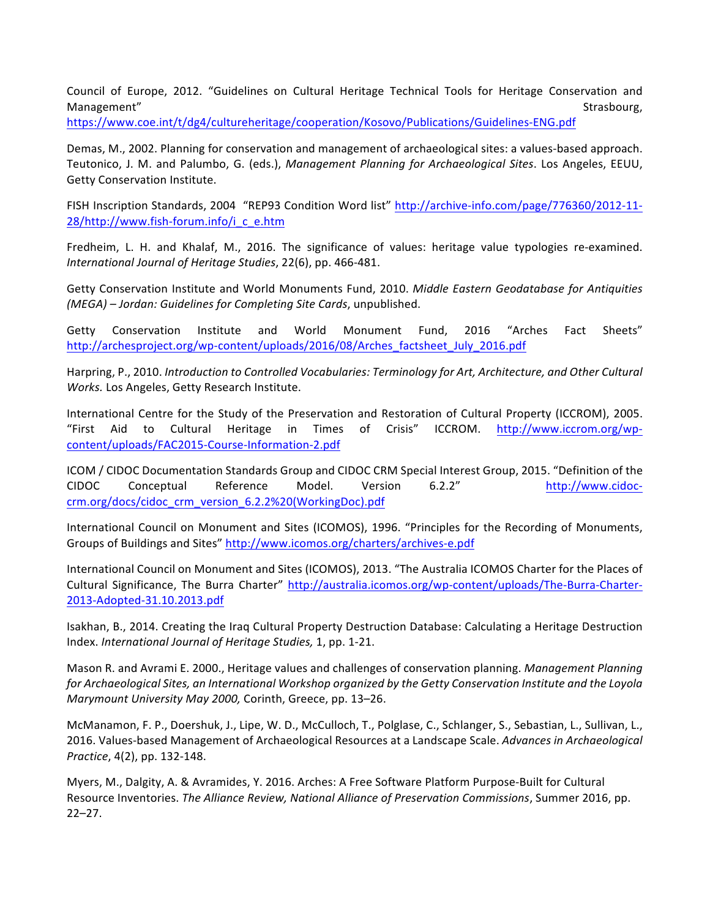Council of Europe, 2012. "Guidelines on Cultural Heritage Technical Tools for Heritage Conservation and Management" **Strasbourg, Executive Strasbourg, Executive Strasbourg, Strasbourg, Strasbourg, Strasbourg, Strasbourg, Strasbourg, Strasbourg, Strasbourg, Strasbourg, Strasbourg, Strasbourg, Strasbourg, Strasbourg, Strasbour** 

https://www.coe.int/t/dg4/cultureheritage/cooperation/Kosovo/Publications/Guidelines-ENG.pdf

Demas, M., 2002. Planning for conservation and management of archaeological sites: a values-based approach. Teutonico, J. M. and Palumbo, G. (eds.), *Management Planning for Archaeological Sites*. Los Angeles, EEUU, Getty Conservation Institute.

FISH Inscription Standards, 2004 "REP93 Condition Word list" http://archive-info.com/page/776360/2012-11-28/http://www.fish-forum.info/i\_c\_e.htm

Fredheim, L. H. and Khalaf, M., 2016. The significance of values: heritage value typologies re-examined. *International Journal of Heritage Studies*, 22(6), pp. 466-481.

Getty Conservation Institute and World Monuments Fund, 2010. *Middle Eastern Geodatabase for Antiquities (MEGA)* - Jordan: Guidelines for Completing Site Cards, unpublished.

Getty Conservation Institute and World Monument Fund, 2016 "Arches Fact Sheets" http://archesproject.org/wp-content/uploads/2016/08/Arches\_factsheet\_July\_2016.pdf 

Harpring, P., 2010. *Introduction to Controlled Vocabularies: Terminology for Art, Architecture, and Other Cultural* Works. Los Angeles, Getty Research Institute.

International Centre for the Study of the Preservation and Restoration of Cultural Property (ICCROM), 2005. "First Aid to Cultural Heritage in Times of Crisis" ICCROM. http://www.iccrom.org/wpcontent/uploads/FAC2015-Course-Information-2.pdf

ICOM / CIDOC Documentation Standards Group and CIDOC CRM Special Interest Group, 2015. "Definition of the CIDOC Conceptual Reference Model. Version 6.2.2" http://www.cidoccrm.org/docs/cidoc\_crm\_version\_6.2.2%20(WorkingDoc).pdf

International Council on Monument and Sites (ICOMOS), 1996. "Principles for the Recording of Monuments, Groups of Buildings and Sites" http://www.icomos.org/charters/archives-e.pdf

International Council on Monument and Sites (ICOMOS), 2013. "The Australia ICOMOS Charter for the Places of Cultural Significance, The Burra Charter" http://australia.icomos.org/wp-content/uploads/The-Burra-Charter-2013-Adopted-31.10.2013.pdf 

Isakhan, B., 2014. Creating the Iraq Cultural Property Destruction Database: Calculating a Heritage Destruction Index. International Journal of Heritage Studies, 1, pp. 1-21.

Mason R. and Avrami E. 2000., Heritage values and challenges of conservation planning. Management Planning *for Archaeological Sites, an International Workshop organized by the Getty Conservation Institute and the Loyola Marymount University May 2000, Corinth, Greece, pp. 13-26.* 

McManamon, F. P., Doershuk, J., Lipe, W. D., McCulloch, T., Polglase, C., Schlanger, S., Sebastian, L., Sullivan, L., 2016. Values-based Management of Archaeological Resources at a Landscape Scale. Advances in Archaeological *Practice*, 4(2), pp. 132-148.

Myers, M., Dalgity, A. & Avramides, Y. 2016. Arches: A Free Software Platform Purpose-Built for Cultural Resource Inventories. *The Alliance Review, National Alliance of Preservation Commissions*, Summer 2016, pp. 22–27.